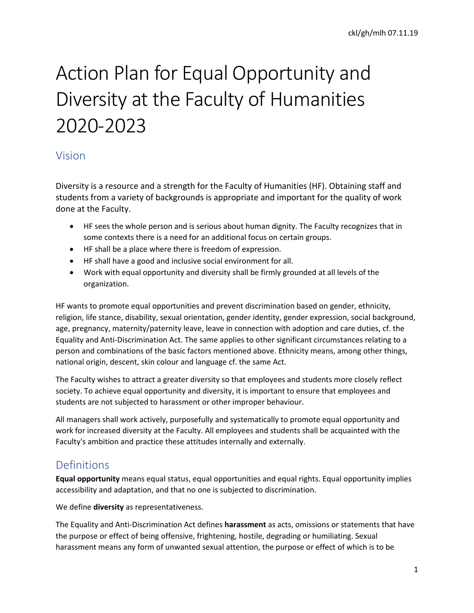# Action Plan for Equal Opportunity and Diversity at the Faculty of Humanities 2020-2023

# Vision

Diversity is a resource and a strength for the Faculty of Humanities (HF). Obtaining staff and students from a variety of backgrounds is appropriate and important for the quality of work done at the Faculty.

- HF sees the whole person and is serious about human dignity. The Faculty recognizes that in some contexts there is a need for an additional focus on certain groups.
- HF shall be a place where there is freedom of expression.
- HF shall have a good and inclusive social environment for all.
- Work with equal opportunity and diversity shall be firmly grounded at all levels of the organization.

HF wants to promote equal opportunities and prevent discrimination based on gender, ethnicity, religion, life stance, disability, sexual orientation, gender identity, gender expression, social background, age, pregnancy, maternity/paternity leave, leave in connection with adoption and care duties, cf. the Equality and Anti-Discrimination Act. The same applies to other significant circumstances relating to a person and combinations of the basic factors mentioned above. Ethnicity means, among other things, national origin, descent, skin colour and language cf. the same Act.

The Faculty wishes to attract a greater diversity so that employees and students more closely reflect society. To achieve equal opportunity and diversity, it is important to ensure that employees and students are not subjected to harassment or other improper behaviour.

All managers shall work actively, purposefully and systematically to promote equal opportunity and work for increased diversity at the Faculty. All employees and students shall be acquainted with the Faculty's ambition and practice these attitudes internally and externally.

# Definitions

**Equal opportunity** means equal status, equal opportunities and equal rights. Equal opportunity implies accessibility and adaptation, and that no one is subjected to discrimination.

We define **diversity** as representativeness.

The Equality and Anti-Discrimination Act defines **harassment** as acts, omissions or statements that have the purpose or effect of being offensive, frightening, hostile, degrading or humiliating. Sexual harassment means any form of unwanted sexual attention, the purpose or effect of which is to be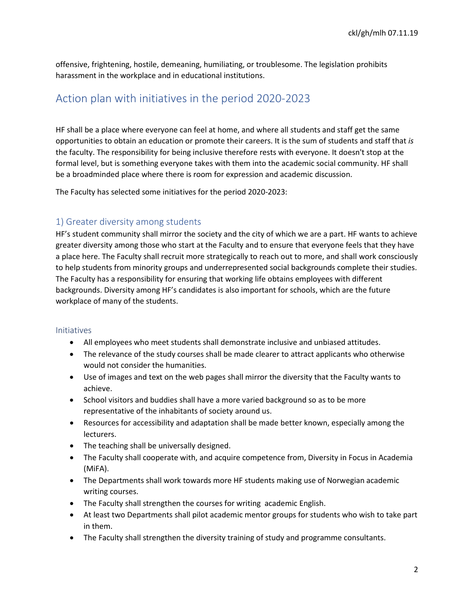offensive, frightening, hostile, demeaning, humiliating, or troublesome. The legislation prohibits harassment in the workplace and in educational institutions.

## Action plan with initiatives in the period 2020-2023

HF shall be a place where everyone can feel at home, and where all students and staff get the same opportunities to obtain an education or promote their careers. It is the sum of students and staff that *is*  the faculty. The responsibility for being inclusive therefore rests with everyone. It doesn't stop at the formal level, but is something everyone takes with them into the academic social community. HF shall be a broadminded place where there is room for expression and academic discussion.

The Faculty has selected some initiatives for the period 2020-2023:

### 1) Greater diversity among students

HF's student community shall mirror the society and the city of which we are a part. HF wants to achieve greater diversity among those who start at the Faculty and to ensure that everyone feels that they have a place here. The Faculty shall recruit more strategically to reach out to more, and shall work consciously to help students from minority groups and underrepresented social backgrounds complete their studies. The Faculty has a responsibility for ensuring that working life obtains employees with different backgrounds. Diversity among HF's candidates is also important for schools, which are the future workplace of many of the students.

#### Initiatives

- All employees who meet students shall demonstrate inclusive and unbiased attitudes.
- The relevance of the study courses shall be made clearer to attract applicants who otherwise would not consider the humanities.
- Use of images and text on the web pages shall mirror the diversity that the Faculty wants to achieve.
- School visitors and buddies shall have a more varied background so as to be more representative of the inhabitants of society around us.
- Resources for accessibility and adaptation shall be made better known, especially among the lecturers.
- The teaching shall be universally designed.
- The Faculty shall cooperate with, and acquire competence from, Diversity in Focus in Academia (MiFA).
- The Departments shall work towards more HF students making use of Norwegian academic writing courses.
- The Faculty shall strengthen the courses for writing academic English.
- At least two Departments shall pilot academic mentor groups for students who wish to take part in them.
- The Faculty shall strengthen the diversity training of study and programme consultants.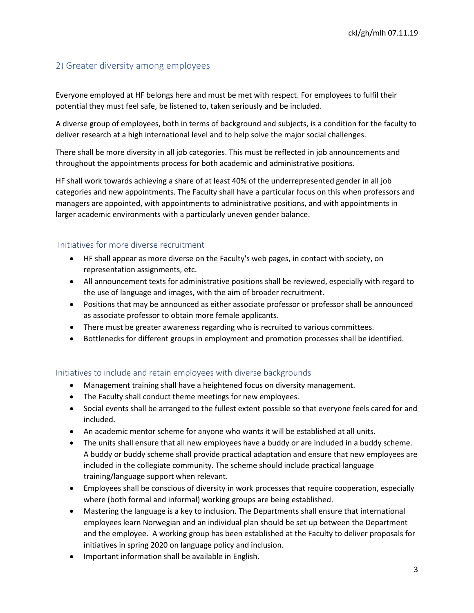## 2) Greater diversity among employees

Everyone employed at HF belongs here and must be met with respect. For employees to fulfil their potential they must feel safe, be listened to, taken seriously and be included.

A diverse group of employees, both in terms of background and subjects, is a condition for the faculty to deliver research at a high international level and to help solve the major social challenges.

There shall be more diversity in all job categories. This must be reflected in job announcements and throughout the appointments process for both academic and administrative positions.

HF shall work towards achieving a share of at least 40% of the underrepresented gender in all job categories and new appointments. The Faculty shall have a particular focus on this when professors and managers are appointed, with appointments to administrative positions, and with appointments in larger academic environments with a particularly uneven gender balance.

### Initiatives for more diverse recruitment

- HF shall appear as more diverse on the Faculty's web pages, in contact with society, on representation assignments, etc.
- All announcement texts for administrative positions shall be reviewed, especially with regard to the use of language and images, with the aim of broader recruitment.
- Positions that may be announced as either associate professor or professor shall be announced as associate professor to obtain more female applicants.
- There must be greater awareness regarding who is recruited to various committees.
- Bottlenecks for different groups in employment and promotion processes shall be identified.

#### Initiatives to include and retain employees with diverse backgrounds

- Management training shall have a heightened focus on diversity management.
- The Faculty shall conduct theme meetings for new employees.
- Social events shall be arranged to the fullest extent possible so that everyone feels cared for and included.
- An academic mentor scheme for anyone who wants it will be established at all units.
- The units shall ensure that all new employees have a buddy or are included in a buddy scheme. A buddy or buddy scheme shall provide practical adaptation and ensure that new employees are included in the collegiate community. The scheme should include practical language training/language support when relevant.
- Employees shall be conscious of diversity in work processes that require cooperation, especially where (both formal and informal) working groups are being established.
- Mastering the language is a key to inclusion. The Departments shall ensure that international employees learn Norwegian and an individual plan should be set up between the Department and the employee. A working group has been established at the Faculty to deliver proposals for initiatives in spring 2020 on language policy and inclusion.
- Important information shall be available in English.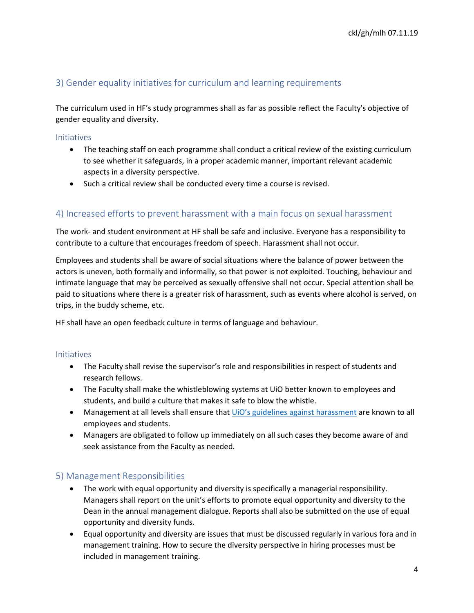## 3) Gender equality initiatives for curriculum and learning requirements

The curriculum used in HF's study programmes shall as far as possible reflect the Faculty's objective of gender equality and diversity.

#### Initiatives

- The teaching staff on each programme shall conduct a critical review of the existing curriculum to see whether it safeguards, in a proper academic manner, important relevant academic aspects in a diversity perspective.
- Such a critical review shall be conducted every time a course is revised.

### 4) Increased efforts to prevent harassment with a main focus on sexual harassment

The work- and student environment at HF shall be safe and inclusive. Everyone has a responsibility to contribute to a culture that encourages freedom of speech. Harassment shall not occur.

Employees and students shall be aware of social situations where the balance of power between the actors is uneven, both formally and informally, so that power is not exploited. Touching, behaviour and intimate language that may be perceived as sexually offensive shall not occur. Special attention shall be paid to situations where there is a greater risk of harassment, such as events where alcohol is served, on trips, in the buddy scheme, etc.

HF shall have an open feedback culture in terms of language and behaviour.

#### Initiatives

- The Faculty shall revise the supervisor's role and responsibilities in respect of students and research fellows.
- The Faculty shall make the whistleblowing systems at UiO better known to employees and students, and build a culture that makes it safe to blow the whistle.
- Management at all levels shall ensure that *UiO's guidelines against harassment* are known to all employees and students.
- Managers are obligated to follow up immediately on all such cases they become aware of and seek assistance from the Faculty as needed.

#### 5) Management Responsibilities

- The work with equal opportunity and diversity is specifically a managerial responsibility. Managers shall report on the unit's efforts to promote equal opportunity and diversity to the Dean in the annual management dialogue. Reports shall also be submitted on the use of equal opportunity and diversity funds.
- Equal opportunity and diversity are issues that must be discussed regularly in various fora and in management training. How to secure the diversity perspective in hiring processes must be included in management training.